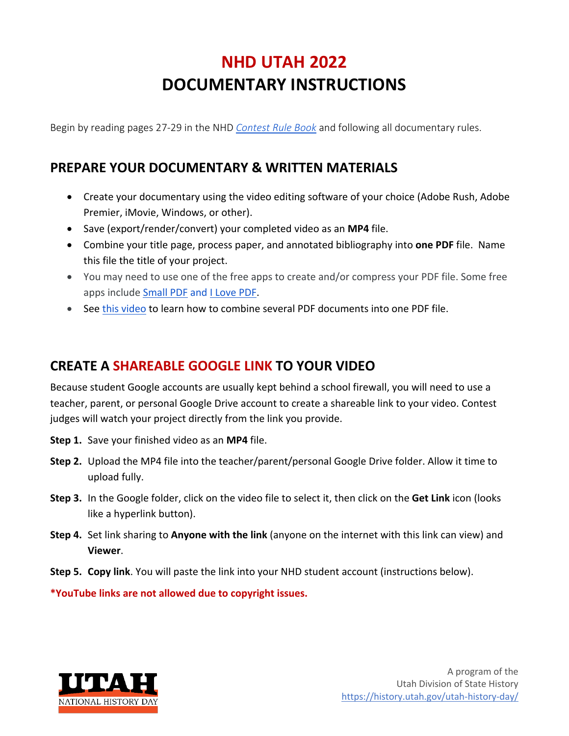# **NHD UTAH 2022 DOCUMENTARY INSTRUCTIONS**

Begin by reading pages 27-29 in the NHD *Contest Rule Book* and following all documentary rules.

## **PREPARE YOUR DOCUMENTARY & WRITTEN MATERIALS**

- Create your documentary using the video editing software of your choice (Adobe Rush, Adobe Premier, iMovie, Windows, or other).
- Save (export/render/convert) your completed video as an **MP4** file.
- Combine your title page, process paper, and annotated bibliography into **one PDF** file. Name this file the title of your project.
- You may need to use one of the free apps to create and/or compress your PDF file. Some free apps include Small PDF and I Love PDF.
- See this video to learn how to combine several PDF documents into one PDF file.

### **CREATE A SHAREABLE GOOGLE LINK TO YOUR VIDEO**

Because student Google accounts are usually kept behind a school firewall, you will need to use a teacher, parent, or personal Google Drive account to create a shareable link to your video. Contest judges will watch your project directly from the link you provide.

- **Step 1.** Save your finished video as an **MP4** file.
- **Step 2.** Upload the MP4 file into the teacher/parent/personal Google Drive folder. Allow it time to upload fully.
- **Step 3.** In the Google folder, click on the video file to select it, then click on the **Get Link** icon (looks like a hyperlink button).
- **Step 4.** Set link sharing to **Anyone with the link** (anyone on the internet with this link can view) and **Viewer**.
- **Step 5. Copy link**. You will paste the link into your NHD student account (instructions below).

**\*YouTube links are not allowed due to copyright issues.**